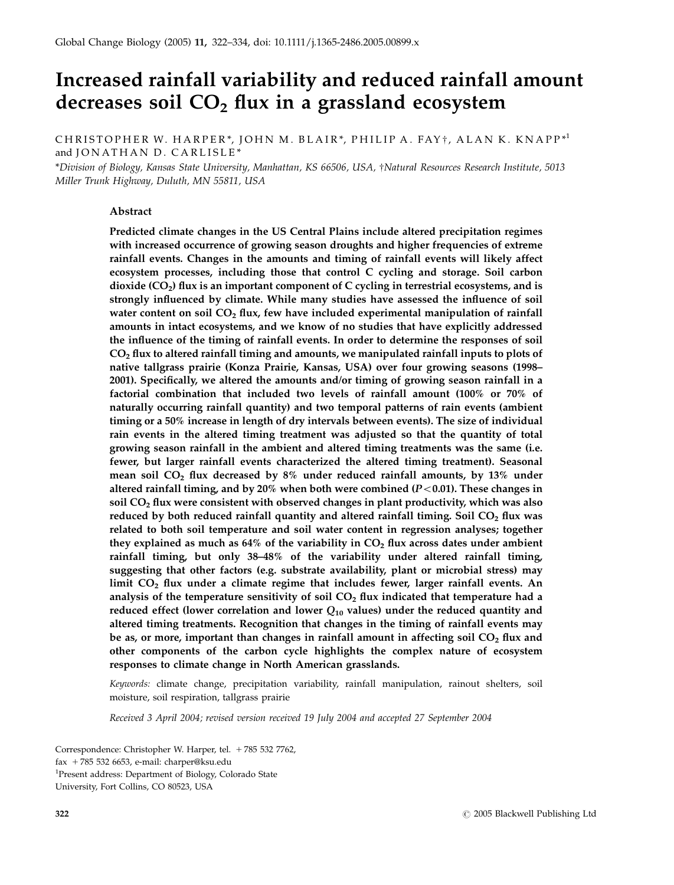# Increased rainfall variability and reduced rainfall amount decreases soil  $CO<sub>2</sub>$  flux in a grassland ecosystem

CHRISTOPHER W. HARPER\*, JOHN M. BLAIR\*, PHILIP A. FAY†, ALAN K. KNAPP\*<sup>1</sup><br>and IONATHAN D. CARLISLE\* and JONATHAN D. CARLISLE\*

\*Division of Biology, Kansas State University, Manhattan, KS 66506, USA, †Natural Resources Research Institute, 5013 Miller Trunk Highway, Duluth, MN 55811, USA

# Abstract

Predicted climate changes in the US Central Plains include altered precipitation regimes with increased occurrence of growing season droughts and higher frequencies of extreme rainfall events. Changes in the amounts and timing of rainfall events will likely affect ecosystem processes, including those that control C cycling and storage. Soil carbon dioxide  $(CO_2)$  flux is an important component of C cycling in terrestrial ecosystems, and is strongly influenced by climate. While many studies have assessed the influence of soil water content on soil  $CO<sub>2</sub>$  flux, few have included experimental manipulation of rainfall amounts in intact ecosystems, and we know of no studies that have explicitly addressed the influence of the timing of rainfall events. In order to determine the responses of soil  $CO<sub>2</sub>$  flux to altered rainfall timing and amounts, we manipulated rainfall inputs to plots of native tallgrass prairie (Konza Prairie, Kansas, USA) over four growing seasons (1998– 2001). Specifically, we altered the amounts and/or timing of growing season rainfall in a factorial combination that included two levels of rainfall amount (100% or 70% of naturally occurring rainfall quantity) and two temporal patterns of rain events (ambient timing or a 50% increase in length of dry intervals between events). The size of individual rain events in the altered timing treatment was adjusted so that the quantity of total growing season rainfall in the ambient and altered timing treatments was the same (i.e. fewer, but larger rainfall events characterized the altered timing treatment). Seasonal mean soil  $CO<sub>2</sub>$  flux decreased by 8% under reduced rainfall amounts, by 13% under altered rainfall timing, and by 20% when both were combined ( $P<0.01$ ). These changes in soil  $CO<sub>2</sub>$  flux were consistent with observed changes in plant productivity, which was also reduced by both reduced rainfall quantity and altered rainfall timing. Soil  $CO<sub>2</sub>$  flux was related to both soil temperature and soil water content in regression analyses; together they explained as much as  $64\%$  of the variability in  $CO<sub>2</sub>$  flux across dates under ambient rainfall timing, but only 38–48% of the variability under altered rainfall timing, suggesting that other factors (e.g. substrate availability, plant or microbial stress) may limit  $CO<sub>2</sub>$  flux under a climate regime that includes fewer, larger rainfall events. An analysis of the temperature sensitivity of soil  $CO<sub>2</sub>$  flux indicated that temperature had a reduced effect (lower correlation and lower  $Q_{10}$  values) under the reduced quantity and altered timing treatments. Recognition that changes in the timing of rainfall events may be as, or more, important than changes in rainfall amount in affecting soil  $CO<sub>2</sub>$  flux and other components of the carbon cycle highlights the complex nature of ecosystem responses to climate change in North American grasslands.

Keywords: climate change, precipitation variability, rainfall manipulation, rainout shelters, soil moisture, soil respiration, tallgrass prairie

Received 3 April 2004; revised version received 19 July 2004 and accepted 27 September 2004

Correspondence: Christopher W. Harper, tel. +785 532 7762, fax  $+ 785 532 6653$ , e-mail: charper@ksu.edu <sup>1</sup>Present address: Department of Biology, Colorado State University, Fort Collins, CO 80523, USA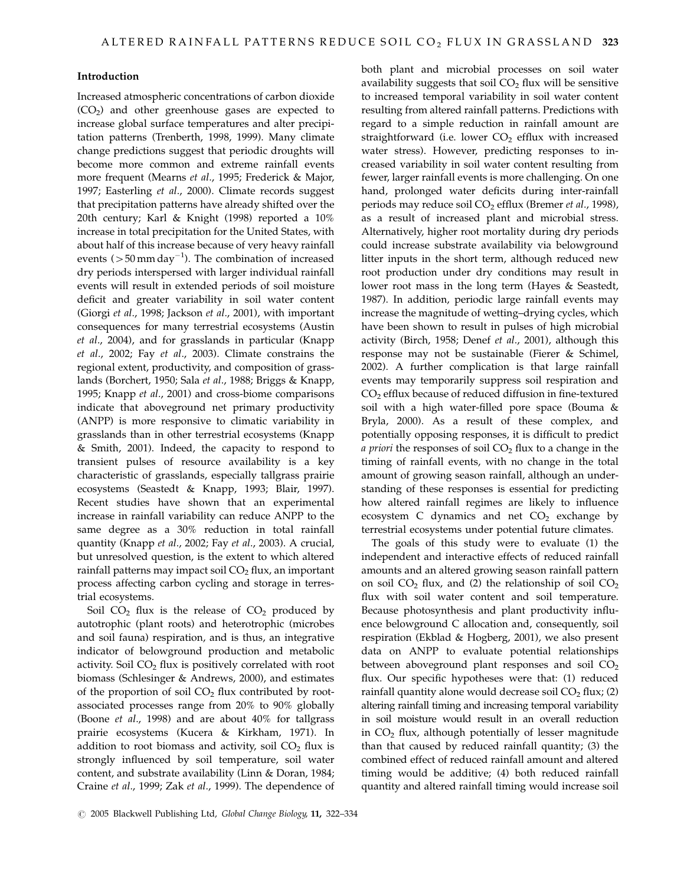#### Introduction

Increased atmospheric concentrations of carbon dioxide  $(CO<sub>2</sub>)$  and other greenhouse gases are expected to increase global surface temperatures and alter precipitation patterns (Trenberth, 1998, 1999). Many climate change predictions suggest that periodic droughts will become more common and extreme rainfall events more frequent (Mearns et al., 1995; Frederick & Major, 1997; Easterling et al., 2000). Climate records suggest that precipitation patterns have already shifted over the 20th century; Karl & Knight (1998) reported a 10% increase in total precipitation for the United States, with about half of this increase because of very heavy rainfall events ( $>50$  mm day<sup>-1</sup>). The combination of increased dry periods interspersed with larger individual rainfall events will result in extended periods of soil moisture deficit and greater variability in soil water content (Giorgi et al., 1998; Jackson et al., 2001), with important consequences for many terrestrial ecosystems (Austin et al., 2004), and for grasslands in particular (Knapp et al., 2002; Fay et al., 2003). Climate constrains the regional extent, productivity, and composition of grasslands (Borchert, 1950; Sala et al., 1988; Briggs & Knapp, 1995; Knapp et al., 2001) and cross-biome comparisons indicate that aboveground net primary productivity (ANPP) is more responsive to climatic variability in grasslands than in other terrestrial ecosystems (Knapp & Smith, 2001). Indeed, the capacity to respond to transient pulses of resource availability is a key characteristic of grasslands, especially tallgrass prairie ecosystems (Seastedt & Knapp, 1993; Blair, 1997). Recent studies have shown that an experimental increase in rainfall variability can reduce ANPP to the same degree as a 30% reduction in total rainfall quantity (Knapp et al., 2002; Fay et al., 2003). A crucial, but unresolved question, is the extent to which altered rainfall patterns may impact soil  $CO<sub>2</sub>$  flux, an important process affecting carbon cycling and storage in terrestrial ecosystems.

Soil  $CO<sub>2</sub>$  flux is the release of  $CO<sub>2</sub>$  produced by autotrophic (plant roots) and heterotrophic (microbes and soil fauna) respiration, and is thus, an integrative indicator of belowground production and metabolic activity. Soil  $CO<sub>2</sub>$  flux is positively correlated with root biomass (Schlesinger & Andrews, 2000), and estimates of the proportion of soil  $CO<sub>2</sub>$  flux contributed by rootassociated processes range from 20% to 90% globally (Boone et al., 1998) and are about 40% for tallgrass prairie ecosystems (Kucera & Kirkham, 1971). In addition to root biomass and activity, soil  $CO<sub>2</sub>$  flux is strongly influenced by soil temperature, soil water content, and substrate availability (Linn & Doran, 1984; Craine et al., 1999; Zak et al., 1999). The dependence of both plant and microbial processes on soil water availability suggests that soil  $CO<sub>2</sub>$  flux will be sensitive to increased temporal variability in soil water content resulting from altered rainfall patterns. Predictions with regard to a simple reduction in rainfall amount are straightforward (i.e. lower  $CO<sub>2</sub>$  efflux with increased water stress). However, predicting responses to increased variability in soil water content resulting from fewer, larger rainfall events is more challenging. On one hand, prolonged water deficits during inter-rainfall periods may reduce soil CO<sub>2</sub> efflux (Bremer et al., 1998), as a result of increased plant and microbial stress. Alternatively, higher root mortality during dry periods could increase substrate availability via belowground litter inputs in the short term, although reduced new root production under dry conditions may result in lower root mass in the long term (Hayes & Seastedt, 1987). In addition, periodic large rainfall events may increase the magnitude of wetting–drying cycles, which have been shown to result in pulses of high microbial activity (Birch, 1958; Denef et al., 2001), although this response may not be sustainable (Fierer & Schimel, 2002). A further complication is that large rainfall events may temporarily suppress soil respiration and CO2 efflux because of reduced diffusion in fine-textured soil with a high water-filled pore space (Bouma & Bryla, 2000). As a result of these complex, and potentially opposing responses, it is difficult to predict *a priori* the responses of soil  $CO<sub>2</sub>$  flux to a change in the timing of rainfall events, with no change in the total amount of growing season rainfall, although an understanding of these responses is essential for predicting how altered rainfall regimes are likely to influence ecosystem C dynamics and net  $CO<sub>2</sub>$  exchange by terrestrial ecosystems under potential future climates.

The goals of this study were to evaluate (1) the independent and interactive effects of reduced rainfall amounts and an altered growing season rainfall pattern on soil  $CO<sub>2</sub>$  flux, and (2) the relationship of soil  $CO<sub>2</sub>$ flux with soil water content and soil temperature. Because photosynthesis and plant productivity influence belowground C allocation and, consequently, soil respiration (Ekblad & Hogberg, 2001), we also present data on ANPP to evaluate potential relationships between aboveground plant responses and soil  $CO<sub>2</sub>$ flux. Our specific hypotheses were that: (1) reduced rainfall quantity alone would decrease soil  $CO<sub>2</sub>$  flux; (2) altering rainfall timing and increasing temporal variability in soil moisture would result in an overall reduction in  $CO<sub>2</sub>$  flux, although potentially of lesser magnitude than that caused by reduced rainfall quantity; (3) the combined effect of reduced rainfall amount and altered timing would be additive; (4) both reduced rainfall quantity and altered rainfall timing would increase soil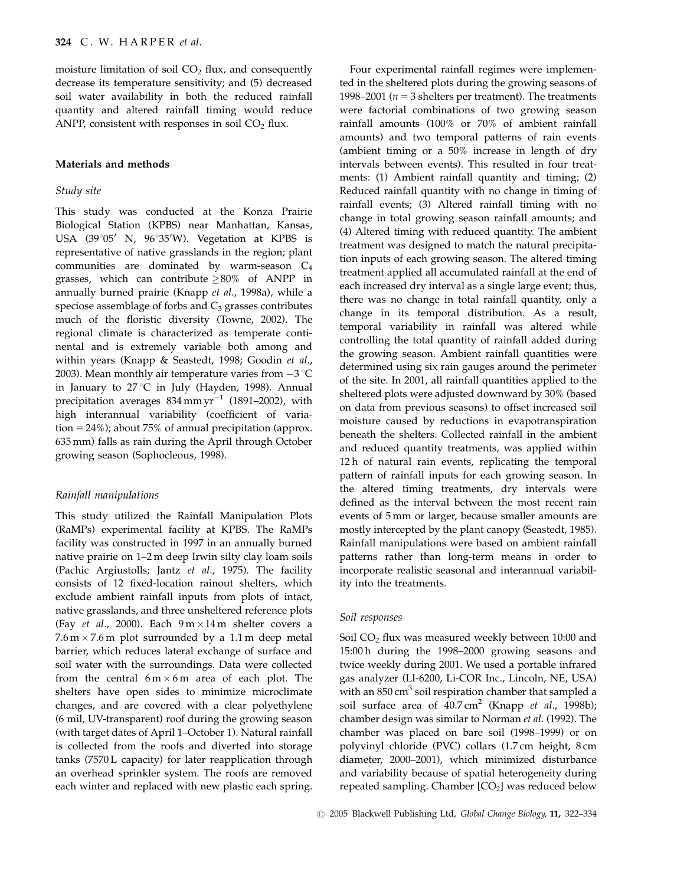moisture limitation of soil  $CO<sub>2</sub>$  flux, and consequently decrease its temperature sensitivity; and (5) decreased soil water availability in both the reduced rainfall quantity and altered rainfall timing would reduce ANPP, consistent with responses in soil  $CO<sub>2</sub>$  flux.

# Materials and methods

# Study site

This study was conducted at the Konza Prairie Biological Station (KPBS) near Manhattan, Kansas, USA (39°05' N, 96°35'W). Vegetation at KPBS is representative of native grasslands in the region; plant communities are dominated by warm-season  $C_4$ grasses, which can contribute  ${\geq}80\%$  of ANPP in annually burned prairie (Knapp et al., 1998a), while a speciose assemblage of forbs and  $C_3$  grasses contributes much of the floristic diversity (Towne, 2002). The regional climate is characterized as temperate continental and is extremely variable both among and within years (Knapp & Seastedt, 1998; Goodin et al., 2003). Mean monthly air temperature varies from  $-3$  °C in January to  $27^{\circ}$ C in July (Hayden, 1998). Annual precipitation averages  $834$  mm yr<sup>-1</sup> (1891–2002), with high interannual variability (coefficient of variation =  $24\%$ ); about 75% of annual precipitation (approx. 635 mm) falls as rain during the April through October growing season (Sophocleous, 1998).

# Rainfall manipulations

This study utilized the Rainfall Manipulation Plots (RaMPs) experimental facility at KPBS. The RaMPs facility was constructed in 1997 in an annually burned native prairie on 1–2 m deep Irwin silty clay loam soils (Pachic Argiustolls; Jantz et al., 1975). The facility consists of 12 fixed-location rainout shelters, which exclude ambient rainfall inputs from plots of intact, native grasslands, and three unsheltered reference plots (Fay et al., 2000). Each  $9 \text{ m} \times 14 \text{ m}$  shelter covers a  $7.6 \text{ m} \times 7.6 \text{ m}$  plot surrounded by a 1.1 m deep metal barrier, which reduces lateral exchange of surface and soil water with the surroundings. Data were collected from the central  $6 \text{ m} \times 6 \text{ m}$  area of each plot. The shelters have open sides to minimize microclimate changes, and are covered with a clear polyethylene (6 mil, UV-transparent) roof during the growing season (with target dates of April 1–October 1). Natural rainfall is collected from the roofs and diverted into storage tanks (7570 L capacity) for later reapplication through an overhead sprinkler system. The roofs are removed each winter and replaced with new plastic each spring.

Four experimental rainfall regimes were implemented in the sheltered plots during the growing seasons of 1998–2001 ( $n = 3$  shelters per treatment). The treatments were factorial combinations of two growing season rainfall amounts (100% or 70% of ambient rainfall amounts) and two temporal patterns of rain events (ambient timing or a 50% increase in length of dry intervals between events). This resulted in four treatments: (1) Ambient rainfall quantity and timing; (2) Reduced rainfall quantity with no change in timing of rainfall events; (3) Altered rainfall timing with no change in total growing season rainfall amounts; and (4) Altered timing with reduced quantity. The ambient treatment was designed to match the natural precipitation inputs of each growing season. The altered timing treatment applied all accumulated rainfall at the end of each increased dry interval as a single large event; thus, there was no change in total rainfall quantity, only a change in its temporal distribution. As a result, temporal variability in rainfall was altered while controlling the total quantity of rainfall added during the growing season. Ambient rainfall quantities were determined using six rain gauges around the perimeter of the site. In 2001, all rainfall quantities applied to the sheltered plots were adjusted downward by 30% (based on data from previous seasons) to offset increased soil moisture caused by reductions in evapotranspiration beneath the shelters. Collected rainfall in the ambient and reduced quantity treatments, was applied within 12 h of natural rain events, replicating the temporal pattern of rainfall inputs for each growing season. In the altered timing treatments, dry intervals were defined as the interval between the most recent rain events of 5 mm or larger, because smaller amounts are mostly intercepted by the plant canopy (Seastedt, 1985). Rainfall manipulations were based on ambient rainfall patterns rather than long-term means in order to incorporate realistic seasonal and interannual variability into the treatments.

# Soil responses

Soil  $CO<sub>2</sub>$  flux was measured weekly between 10:00 and 15:00 h during the 1998–2000 growing seasons and twice weekly during 2001. We used a portable infrared gas analyzer (LI-6200, Li-COR Inc., Lincoln, NE, USA) with an  $850 \text{ cm}^3$  soil respiration chamber that sampled a soil surface area of  $40.7 \text{ cm}^2$  (Knapp *et al.*, 1998b); chamber design was similar to Norman et al. (1992). The chamber was placed on bare soil (1998–1999) or on polyvinyl chloride (PVC) collars (1.7 cm height, 8 cm diameter, 2000–2001), which minimized disturbance and variability because of spatial heterogeneity during repeated sampling. Chamber  $[CO<sub>2</sub>]$  was reduced below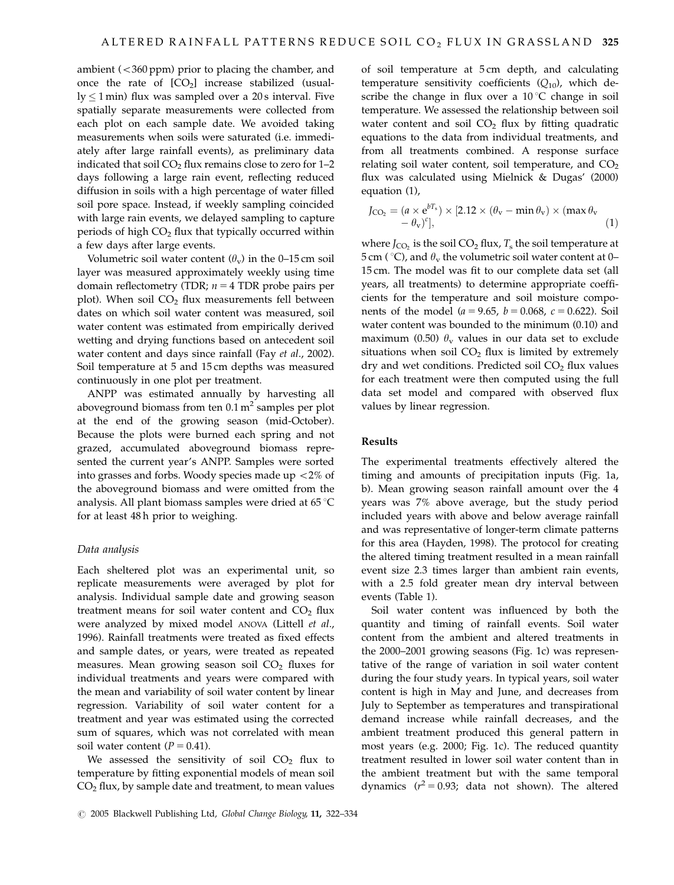ambient  $\left($  < 360 ppm) prior to placing the chamber, and once the rate of  $[CO<sub>2</sub>]$  increase stabilized (usual- $\frac{1}{\sqrt{2}}$  ly < 1 min) flux was sampled over a 20 s interval. Five spatially separate measurements were collected from each plot on each sample date. We avoided taking measurements when soils were saturated (i.e. immediately after large rainfall events), as preliminary data indicated that soil  $CO<sub>2</sub>$  flux remains close to zero for  $1-2$ days following a large rain event, reflecting reduced diffusion in soils with a high percentage of water filled soil pore space. Instead, if weekly sampling coincided with large rain events, we delayed sampling to capture periods of high  $CO<sub>2</sub>$  flux that typically occurred within a few days after large events.

Volumetric soil water content  $(\theta_v)$  in the 0–15 cm soil layer was measured approximately weekly using time domain reflectometry (TDR;  $n = 4$  TDR probe pairs per plot). When soil  $CO<sub>2</sub>$  flux measurements fell between dates on which soil water content was measured, soil water content was estimated from empirically derived wetting and drying functions based on antecedent soil water content and days since rainfall (Fay et al., 2002). Soil temperature at 5 and 15 cm depths was measured continuously in one plot per treatment.

ANPP was estimated annually by harvesting all aboveground biomass from ten  $0.1 \text{ m}^2$  samples per plot at the end of the growing season (mid-October). Because the plots were burned each spring and not grazed, accumulated aboveground biomass represented the current year's ANPP. Samples were sorted into grasses and forbs. Woody species made up  $\langle 2\% \rangle$  of the aboveground biomass and were omitted from the analysis. All plant biomass samples were dried at 65 °C for at least 48 h prior to weighing.

#### Data analysis

Each sheltered plot was an experimental unit, so replicate measurements were averaged by plot for analysis. Individual sample date and growing season treatment means for soil water content and  $CO<sub>2</sub>$  flux were analyzed by mixed model ANOVA (Littell et al., 1996). Rainfall treatments were treated as fixed effects and sample dates, or years, were treated as repeated measures. Mean growing season soil  $CO<sub>2</sub>$  fluxes for individual treatments and years were compared with the mean and variability of soil water content by linear regression. Variability of soil water content for a treatment and year was estimated using the corrected sum of squares, which was not correlated with mean soil water content ( $P = 0.41$ ).

We assessed the sensitivity of soil  $CO<sub>2</sub>$  flux to temperature by fitting exponential models of mean soil  $CO<sub>2</sub>$  flux, by sample date and treatment, to mean values of soil temperature at 5 cm depth, and calculating temperature sensitivity coefficients  $(Q_{10})$ , which describe the change in flux over a  $10^{\circ}$ C change in soil temperature. We assessed the relationship between soil water content and soil  $CO<sub>2</sub>$  flux by fitting quadratic equations to the data from individual treatments, and from all treatments combined. A response surface relating soil water content, soil temperature, and  $CO<sub>2</sub>$ flux was calculated using Mielnick & Dugas' (2000) equation (1),

$$
J_{\text{CO}_2} = (a \times e^{bT_s}) \times [2.12 \times (\theta_v - \min \theta_v) \times (\max \theta_v - \theta_v)^c],
$$
\n(1)

where  $I_{\text{CO}_2}$  is the soil CO<sub>2</sub> flux,  $T_s$  the soil temperature at 5 cm ( $\degree$ C), and  $\theta_{\rm v}$  the volumetric soil water content at 0– 15 cm. The model was fit to our complete data set (all years, all treatments) to determine appropriate coefficients for the temperature and soil moisture components of the model ( $a = 9.65$ ,  $b = 0.068$ ,  $c = 0.622$ ). Soil water content was bounded to the minimum (0.10) and maximum (0.50)  $\theta_{\rm v}$  values in our data set to exclude situations when soil  $CO<sub>2</sub>$  flux is limited by extremely dry and wet conditions. Predicted soil  $CO<sub>2</sub>$  flux values for each treatment were then computed using the full data set model and compared with observed flux values by linear regression.

# Results

The experimental treatments effectively altered the timing and amounts of precipitation inputs (Fig. 1a, b). Mean growing season rainfall amount over the 4 years was 7% above average, but the study period included years with above and below average rainfall and was representative of longer-term climate patterns for this area (Hayden, 1998). The protocol for creating the altered timing treatment resulted in a mean rainfall event size 2.3 times larger than ambient rain events, with a 2.5 fold greater mean dry interval between events (Table 1).

Soil water content was influenced by both the quantity and timing of rainfall events. Soil water content from the ambient and altered treatments in the 2000–2001 growing seasons (Fig. 1c) was representative of the range of variation in soil water content during the four study years. In typical years, soil water content is high in May and June, and decreases from July to September as temperatures and transpirational demand increase while rainfall decreases, and the ambient treatment produced this general pattern in most years (e.g. 2000; Fig. 1c). The reduced quantity treatment resulted in lower soil water content than in the ambient treatment but with the same temporal dynamics  $(r^2 = 0.93;$  data not shown). The altered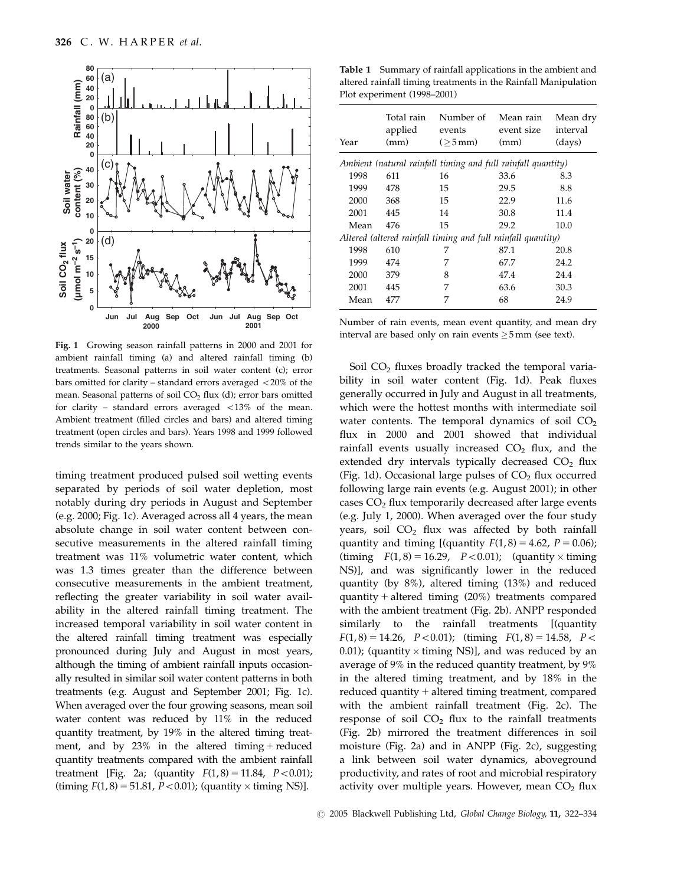

Fig. 1 Growing season rainfall patterns in 2000 and 2001 for ambient rainfall timing (a) and altered rainfall timing (b) treatments. Seasonal patterns in soil water content (c); error bars omitted for clarity – standard errors averaged  $<$ 20% of the mean. Seasonal patterns of soil  $CO<sub>2</sub>$  flux (d); error bars omitted for clarity – standard errors averaged  $\langle 13\% \rangle$  of the mean. Ambient treatment (filled circles and bars) and altered timing treatment (open circles and bars). Years 1998 and 1999 followed trends similar to the years shown.

timing treatment produced pulsed soil wetting events separated by periods of soil water depletion, most notably during dry periods in August and September (e.g. 2000; Fig. 1c). Averaged across all 4 years, the mean absolute change in soil water content between consecutive measurements in the altered rainfall timing treatment was 11% volumetric water content, which was 1.3 times greater than the difference between consecutive measurements in the ambient treatment, reflecting the greater variability in soil water availability in the altered rainfall timing treatment. The increased temporal variability in soil water content in the altered rainfall timing treatment was especially pronounced during July and August in most years, although the timing of ambient rainfall inputs occasionally resulted in similar soil water content patterns in both treatments (e.g. August and September 2001; Fig. 1c). When averaged over the four growing seasons, mean soil water content was reduced by 11% in the reduced quantity treatment, by 19% in the altered timing treatment, and by  $23\%$  in the altered timing + reduced quantity treatments compared with the ambient rainfall treatment [Fig. 2a; (quantity  $F(1, 8) = 11.84$ ,  $P < 0.01$ ); (timing  $F(1, 8) = 51.81$ ,  $P < 0.01$ ); (quantity  $\times$  timing NS)].

Table 1 Summary of rainfall applications in the ambient and altered rainfall timing treatments in the Rainfall Manipulation Plot experiment (1998–2001)

| Year | Total rain<br>applied<br>(mm) | Number of<br>events<br>$(>5 \,\mathrm{mm})$                  | Mean rain<br>event size<br>(mm) | Mean dry<br>interval<br>(days) |
|------|-------------------------------|--------------------------------------------------------------|---------------------------------|--------------------------------|
|      |                               | Ambient (natural rainfall timing and full rainfall quantity) |                                 |                                |
| 1998 | 611                           | 16                                                           | 33.6                            | 8.3                            |
| 1999 | 478                           | 15                                                           | 29.5                            | 8.8                            |
| 2000 | 368                           | 15                                                           | 22.9                            | 11.6                           |
| 2001 | 445                           | 14                                                           | 30.8                            | 11.4                           |
| Mean | 476                           | 15                                                           | 29.2                            | 10.0                           |
|      |                               | Altered (altered rainfall timing and full rainfall quantity) |                                 |                                |
| 1998 | 610                           | 7                                                            | 87.1                            | 20.8                           |
| 1999 | 474                           | 7                                                            | 67.7                            | 24.2                           |
| 2000 | 379                           | 8                                                            | 47.4                            | 24.4                           |
| 2001 | 445                           | 7                                                            | 63.6                            | 30.3                           |
| Mean | 477                           | 7                                                            | 68                              | 24.9                           |

Number of rain events, mean event quantity, and mean dry interval are based only on rain events  $\geq$ 5 mm (see text).

Soil  $CO<sub>2</sub>$  fluxes broadly tracked the temporal variability in soil water content (Fig. 1d). Peak fluxes generally occurred in July and August in all treatments, which were the hottest months with intermediate soil water contents. The temporal dynamics of soil  $CO<sub>2</sub>$ flux in 2000 and 2001 showed that individual rainfall events usually increased  $CO<sub>2</sub>$  flux, and the extended dry intervals typically decreased  $CO<sub>2</sub>$  flux (Fig. 1d). Occasional large pulses of  $CO<sub>2</sub>$  flux occurred following large rain events (e.g. August 2001); in other cases  $CO<sub>2</sub>$  flux temporarily decreased after large events (e.g. July 1, 2000). When averaged over the four study years, soil  $CO<sub>2</sub>$  flux was affected by both rainfall quantity and timing [(quantity  $F(1, 8) = 4.62$ ,  $P = 0.06$ ); (timing  $F(1, 8) = 16.29$ ,  $P < 0.01$ ); (quantity  $\times$  timing NS)], and was significantly lower in the reduced quantity (by 8%), altered timing (13%) and reduced quantity + altered timing  $(20%)$  treatments compared with the ambient treatment (Fig. 2b). ANPP responded similarly to the rainfall treatments [(quantity  $F(1, 8) = 14.26$ ,  $P < 0.01$ ); (timing  $F(1, 8) = 14.58$ ,  $P <$ 0.01); (quantity  $\times$  timing NS)], and was reduced by an average of 9% in the reduced quantity treatment, by 9% in the altered timing treatment, and by 18% in the reduced quantity  $+$  altered timing treatment, compared with the ambient rainfall treatment (Fig. 2c). The response of soil  $CO<sub>2</sub>$  flux to the rainfall treatments (Fig. 2b) mirrored the treatment differences in soil moisture (Fig. 2a) and in ANPP (Fig. 2c), suggesting a link between soil water dynamics, aboveground productivity, and rates of root and microbial respiratory activity over multiple years. However, mean  $CO<sub>2</sub>$  flux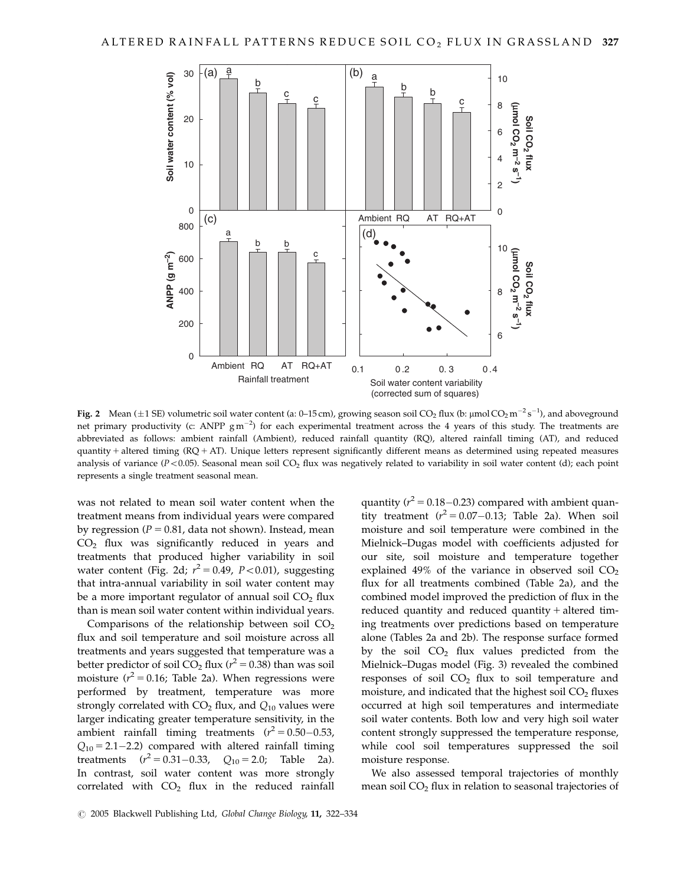

Fig. 2 Mean ( $\pm 1$  SE) volumetric soil water content (a: 0–15 cm), growing season soil CO<sub>2</sub> flux (b: µmol CO<sub>2</sub> m<sup>-2</sup> s<sup>-1</sup>), and aboveground net primary productivity (c: ANPP  $g m^{-2}$ ) for each experimental treatment across the 4 years of this study. The treatments are abbreviated as follows: ambient rainfall (Ambient), reduced rainfall quantity (RQ), altered rainfall timing (AT), and reduced quantity  $+$  altered timing (RQ  $+$  AT). Unique letters represent significantly different means as determined using repeated measures analysis of variance ( $P<0.05$ ). Seasonal mean soil CO<sub>2</sub> flux was negatively related to variability in soil water content (d); each point represents a single treatment seasonal mean.

was not related to mean soil water content when the treatment means from individual years were compared by regression ( $P = 0.81$ , data not shown). Instead, mean CO2 flux was significantly reduced in years and treatments that produced higher variability in soil water content (Fig. 2d;  $r^2 = 0.49$ ,  $P < 0.01$ ), suggesting that intra-annual variability in soil water content may be a more important regulator of annual soil  $CO<sub>2</sub>$  flux than is mean soil water content within individual years.

Comparisons of the relationship between soil  $CO<sub>2</sub>$ flux and soil temperature and soil moisture across all treatments and years suggested that temperature was a better predictor of soil CO<sub>2</sub> flux ( $r^2 = 0.38$ ) than was soil moisture ( $r^2$  = 0.16; Table 2a). When regressions were performed by treatment, temperature was more strongly correlated with  $CO<sub>2</sub>$  flux, and  $Q<sub>10</sub>$  values were larger indicating greater temperature sensitivity, in the ambient rainfall timing treatments  $(r^2 = 0.50 - 0.53,$  $Q_{10} = 2.1 - 2.2$  compared with altered rainfall timing treatments  $(r^2 = 0.31 - 0.33, Q_{10} = 2.0;$  Table 2a). In contrast, soil water content was more strongly correlated with  $CO<sub>2</sub>$  flux in the reduced rainfall

quantity ( $r^2$  = 0.18–0.23) compared with ambient quantity treatment  $(r^2 = 0.07 - 0.13)$ ; Table 2a). When soil moisture and soil temperature were combined in the Mielnick–Dugas model with coefficients adjusted for our site, soil moisture and temperature together explained  $49\%$  of the variance in observed soil  $CO<sub>2</sub>$ flux for all treatments combined (Table 2a), and the combined model improved the prediction of flux in the reduced quantity and reduced quantity  $+$  altered timing treatments over predictions based on temperature alone (Tables 2a and 2b). The response surface formed by the soil  $CO<sub>2</sub>$  flux values predicted from the Mielnick–Dugas model (Fig. 3) revealed the combined responses of soil  $CO<sub>2</sub>$  flux to soil temperature and moisture, and indicated that the highest soil  $CO<sub>2</sub>$  fluxes occurred at high soil temperatures and intermediate soil water contents. Both low and very high soil water content strongly suppressed the temperature response, while cool soil temperatures suppressed the soil moisture response. **EXERCT ASSOCITE:** A solid model of the soil CO2 flux is predicted from the soil CO<sub>2</sub> flux in relation to seasonal trajectories of soil CO<sub>2</sub> flux to seal in relation to season soil CO<sub>2</sub> flux the soil CO<sub>2</sub> flux that is

We also assessed temporal trajectories of monthly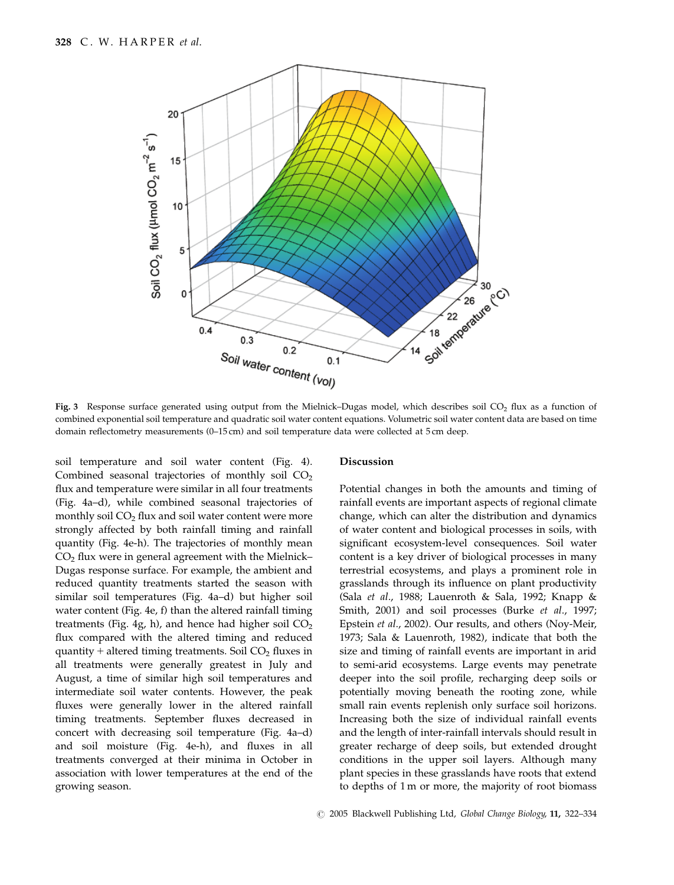

Fig. 3 Response surface generated using output from the Mielnick–Dugas model, which describes soil CO<sub>2</sub> flux as a function of combined exponential soil temperature and quadratic soil water content equations. Volumetric soil water content data are based on time domain reflectometry measurements (0–15 cm) and soil temperature data were collected at 5 cm deep.

soil temperature and soil water content (Fig. 4). Combined seasonal trajectories of monthly soil  $CO<sub>2</sub>$ flux and temperature were similar in all four treatments (Fig. 4a–d), while combined seasonal trajectories of monthly soil  $CO<sub>2</sub>$  flux and soil water content were more strongly affected by both rainfall timing and rainfall quantity (Fig. 4e-h). The trajectories of monthly mean  $CO<sub>2</sub>$  flux were in general agreement with the Mielnick– Dugas response surface. For example, the ambient and reduced quantity treatments started the season with similar soil temperatures (Fig. 4a–d) but higher soil water content (Fig. 4e, f) than the altered rainfall timing treatments (Fig. 4g, h), and hence had higher soil  $CO<sub>2</sub>$ flux compared with the altered timing and reduced quantity + altered timing treatments. Soil  $CO<sub>2</sub>$  fluxes in all treatments were generally greatest in July and August, a time of similar high soil temperatures and intermediate soil water contents. However, the peak fluxes were generally lower in the altered rainfall timing treatments. September fluxes decreased in concert with decreasing soil temperature (Fig. 4a–d) and soil moisture (Fig. 4e-h), and fluxes in all treatments converged at their minima in October in association with lower temperatures at the end of the growing season.

#### Discussion

Potential changes in both the amounts and timing of rainfall events are important aspects of regional climate change, which can alter the distribution and dynamics of water content and biological processes in soils, with significant ecosystem-level consequences. Soil water content is a key driver of biological processes in many terrestrial ecosystems, and plays a prominent role in grasslands through its influence on plant productivity (Sala et al., 1988; Lauenroth & Sala, 1992; Knapp & Smith, 2001) and soil processes (Burke et al., 1997; Epstein et al., 2002). Our results, and others (Noy-Meir, 1973; Sala & Lauenroth, 1982), indicate that both the size and timing of rainfall events are important in arid to semi-arid ecosystems. Large events may penetrate deeper into the soil profile, recharging deep soils or potentially moving beneath the rooting zone, while small rain events replenish only surface soil horizons. Increasing both the size of individual rainfall events and the length of inter-rainfall intervals should result in greater recharge of deep soils, but extended drought conditions in the upper soil layers. Although many plant species in these grasslands have roots that extend to depths of 1 m or more, the majority of root biomass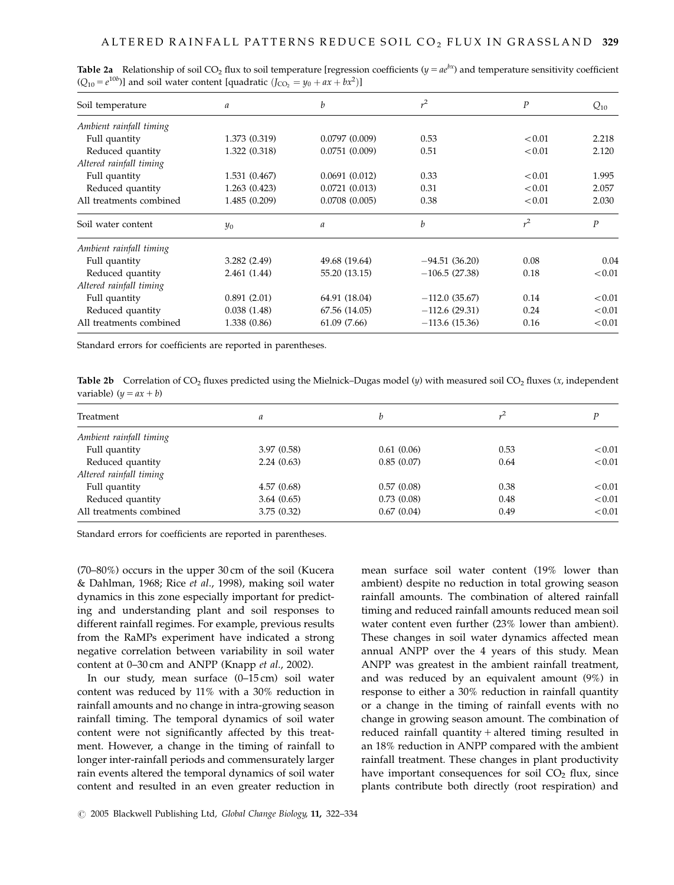| Soil temperature        | $\mathfrak a$ | h             | $r^2$           | $\boldsymbol{P}$ | $Q_{10}$         |
|-------------------------|---------------|---------------|-----------------|------------------|------------------|
| Ambient rainfall timing |               |               |                 |                  |                  |
| Full quantity           | 1.373 (0.319) | 0.0797(0.009) | 0.53            | < 0.01           | 2.218            |
| Reduced quantity        | 1.322 (0.318) | 0.0751(0.009) | 0.51            | < 0.01           | 2.120            |
| Altered rainfall timing |               |               |                 |                  |                  |
| Full quantity           | 1.531 (0.467) | 0.0691(0.012) | 0.33            | < 0.01           | 1.995            |
| Reduced quantity        | 1.263(0.423)  | 0.0721(0.013) | 0.31            | < 0.01           | 2.057            |
| All treatments combined | 1.485 (0.209) | 0.0708(0.005) | 0.38            | < 0.01           | 2.030            |
| Soil water content      | $y_0$         | a             | b               | $r^2$            | $\boldsymbol{P}$ |
| Ambient rainfall timing |               |               |                 |                  |                  |
| Full quantity           | 3.282(2.49)   | 49.68 (19.64) | $-94.51(36.20)$ | 0.08             | 0.04             |
| Reduced quantity        | 2.461(1.44)   | 55.20 (13.15) | $-106.5(27.38)$ | 0.18             | < 0.01           |
| Altered rainfall timing |               |               |                 |                  |                  |
| Full quantity           | 0.891(2.01)   | 64.91 (18.04) | $-112.0(35.67)$ | 0.14             | < 0.01           |
| Reduced quantity        | 0.038(1.48)   | 67.56 (14.05) | $-112.6(29.31)$ | 0.24             | < 0.01           |
| All treatments combined | 1.338 (0.86)  | 61.09 (7.66)  | $-113.6(15.36)$ | 0.16             | < 0.01           |

**Table 2a** Relationship of soil CO<sub>2</sub> flux to soil temperature [regression coefficients ( $y = ae^{bx}$ ) and temperature sensitivity coefficient  $(Q_{10} = e^{10b})$ ] and soil water content [quadratic  $(J_{\text{CO}_2} = y_0 + ax + bx^2)$ ]

Standard errors for coefficients are reported in parentheses.

Table 2b Correlation of  $CO_2$  fluxes predicted using the Mielnick–Dugas model (y) with measured soil  $CO_2$  fluxes (x, independent variable)  $(y = ax + b)$ 

| Treatment               | a          | b          |      |        |
|-------------------------|------------|------------|------|--------|
| Ambient rainfall timing |            |            |      |        |
| Full quantity           | 3.97(0.58) | 0.61(0.06) | 0.53 | < 0.01 |
| Reduced quantity        | 2.24(0.63) | 0.85(0.07) | 0.64 | < 0.01 |
| Altered rainfall timing |            |            |      |        |
| Full quantity           | 4.57(0.68) | 0.57(0.08) | 0.38 | < 0.01 |
| Reduced quantity        | 3.64(0.65) | 0.73(0.08) | 0.48 | < 0.01 |
| All treatments combined | 3.75(0.32) | 0.67(0.04) | 0.49 | < 0.01 |

Standard errors for coefficients are reported in parentheses.

(70–80%) occurs in the upper 30 cm of the soil (Kucera & Dahlman, 1968; Rice et al., 1998), making soil water dynamics in this zone especially important for predicting and understanding plant and soil responses to different rainfall regimes. For example, previous results from the RaMPs experiment have indicated a strong negative correlation between variability in soil water content at 0-30 cm and ANPP (Knapp et al., 2002).

In our study, mean surface (0–15 cm) soil water content was reduced by 11% with a 30% reduction in rainfall amounts and no change in intra-growing season rainfall timing. The temporal dynamics of soil water content were not significantly affected by this treatment. However, a change in the timing of rainfall to longer inter-rainfall periods and commensurately larger rain events altered the temporal dynamics of soil water content and resulted in an even greater reduction in mean surface soil water content (19% lower than ambient) despite no reduction in total growing season rainfall amounts. The combination of altered rainfall timing and reduced rainfall amounts reduced mean soil water content even further (23% lower than ambient). These changes in soil water dynamics affected mean annual ANPP over the 4 years of this study. Mean ANPP was greatest in the ambient rainfall treatment, and was reduced by an equivalent amount (9%) in response to either a 30% reduction in rainfall quantity or a change in the timing of rainfall events with no change in growing season amount. The combination of reduced rainfall quantity  $+$  altered timing resulted in an 18% reduction in ANPP compared with the ambient rainfall treatment. These changes in plant productivity have important consequences for soil  $CO<sub>2</sub>$  flux, since plants contribute both directly (root respiration) and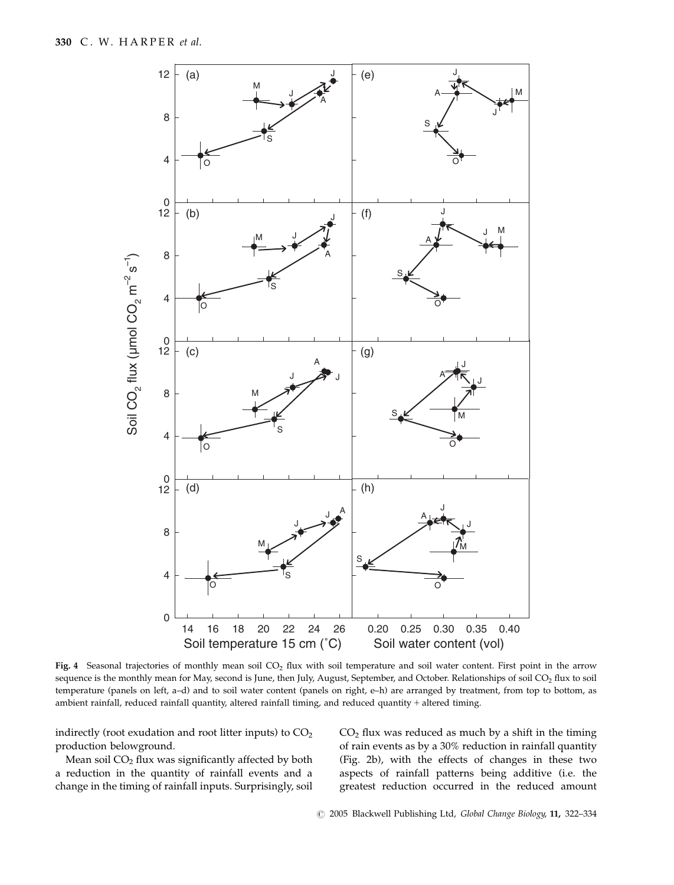

Fig. 4 Seasonal trajectories of monthly mean soil CO<sub>2</sub> flux with soil temperature and soil water content. First point in the arrow sequence is the monthly mean for May, second is June, then July, August, September, and October. Relationships of soil CO<sub>2</sub> flux to soil temperature (panels on left, a–d) and to soil water content (panels on right, e–h) are arranged by treatment, from top to bottom, as ambient rainfall, reduced rainfall quantity, altered rainfall timing, and reduced quantity + altered timing.

indirectly (root exudation and root litter inputs) to  $CO<sub>2</sub>$ production belowground.

Mean soil  $CO<sub>2</sub>$  flux was significantly affected by both a reduction in the quantity of rainfall events and a change in the timing of rainfall inputs. Surprisingly, soil  $CO<sub>2</sub>$  flux was reduced as much by a shift in the timing of rain events as by a 30% reduction in rainfall quantity (Fig. 2b), with the effects of changes in these two aspects of rainfall patterns being additive (i.e. the greatest reduction occurred in the reduced amount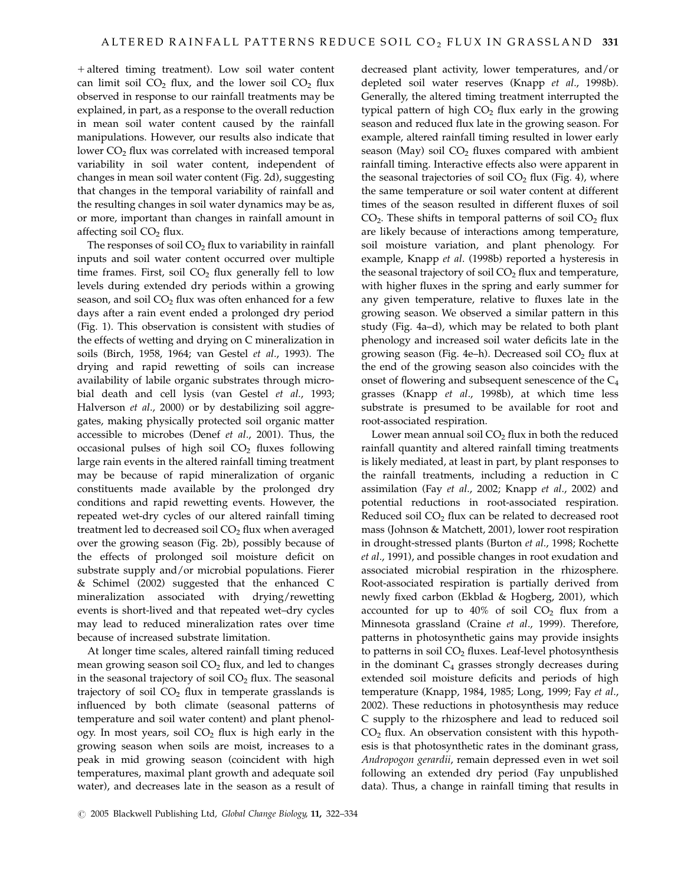+ altered timing treatment). Low soil water content can limit soil  $CO<sub>2</sub>$  flux, and the lower soil  $CO<sub>2</sub>$  flux observed in response to our rainfall treatments may be explained, in part, as a response to the overall reduction in mean soil water content caused by the rainfall manipulations. However, our results also indicate that lower  $CO<sub>2</sub>$  flux was correlated with increased temporal variability in soil water content, independent of changes in mean soil water content (Fig. 2d), suggesting that changes in the temporal variability of rainfall and the resulting changes in soil water dynamics may be as, or more, important than changes in rainfall amount in affecting soil  $CO<sub>2</sub>$  flux.

The responses of soil  $CO<sub>2</sub>$  flux to variability in rainfall inputs and soil water content occurred over multiple time frames. First, soil  $CO<sub>2</sub>$  flux generally fell to low levels during extended dry periods within a growing season, and soil  $CO<sub>2</sub>$  flux was often enhanced for a few days after a rain event ended a prolonged dry period (Fig. 1). This observation is consistent with studies of the effects of wetting and drying on C mineralization in soils (Birch, 1958, 1964; van Gestel et al., 1993). The drying and rapid rewetting of soils can increase availability of labile organic substrates through microbial death and cell lysis (van Gestel et al., 1993; Halverson et al., 2000) or by destabilizing soil aggregates, making physically protected soil organic matter accessible to microbes (Denef et al., 2001). Thus, the occasional pulses of high soil  $CO<sub>2</sub>$  fluxes following large rain events in the altered rainfall timing treatment may be because of rapid mineralization of organic constituents made available by the prolonged dry conditions and rapid rewetting events. However, the repeated wet-dry cycles of our altered rainfall timing treatment led to decreased soil  $CO<sub>2</sub>$  flux when averaged over the growing season (Fig. 2b), possibly because of the effects of prolonged soil moisture deficit on substrate supply and/or microbial populations. Fierer & Schimel (2002) suggested that the enhanced C mineralization associated with drying/rewetting events is short-lived and that repeated wet–dry cycles may lead to reduced mineralization rates over time because of increased substrate limitation.

At longer time scales, altered rainfall timing reduced mean growing season soil  $CO<sub>2</sub>$  flux, and led to changes in the seasonal trajectory of soil  $CO<sub>2</sub>$  flux. The seasonal trajectory of soil  $CO<sub>2</sub>$  flux in temperate grasslands is influenced by both climate (seasonal patterns of temperature and soil water content) and plant phenology. In most years, soil  $CO<sub>2</sub>$  flux is high early in the growing season when soils are moist, increases to a peak in mid growing season (coincident with high temperatures, maximal plant growth and adequate soil water), and decreases late in the season as a result of

decreased plant activity, lower temperatures, and/or depleted soil water reserves (Knapp et al., 1998b). Generally, the altered timing treatment interrupted the typical pattern of high  $CO<sub>2</sub>$  flux early in the growing season and reduced flux late in the growing season. For example, altered rainfall timing resulted in lower early season (May) soil  $CO<sub>2</sub>$  fluxes compared with ambient rainfall timing. Interactive effects also were apparent in the seasonal trajectories of soil  $CO<sub>2</sub>$  flux (Fig. 4), where the same temperature or soil water content at different times of the season resulted in different fluxes of soil  $CO<sub>2</sub>$ . These shifts in temporal patterns of soil  $CO<sub>2</sub>$  flux are likely because of interactions among temperature, soil moisture variation, and plant phenology. For example, Knapp et al. (1998b) reported a hysteresis in the seasonal trajectory of soil  $CO<sub>2</sub>$  flux and temperature, with higher fluxes in the spring and early summer for any given temperature, relative to fluxes late in the growing season. We observed a similar pattern in this study (Fig. 4a–d), which may be related to both plant phenology and increased soil water deficits late in the growing season (Fig. 4e–h). Decreased soil  $CO<sub>2</sub>$  flux at the end of the growing season also coincides with the onset of flowering and subsequent senescence of the  $C_4$ grasses (Knapp et al., 1998b), at which time less substrate is presumed to be available for root and root-associated respiration.

Lower mean annual soil  $CO<sub>2</sub>$  flux in both the reduced rainfall quantity and altered rainfall timing treatments is likely mediated, at least in part, by plant responses to the rainfall treatments, including a reduction in C assimilation (Fay et al., 2002; Knapp et al., 2002) and potential reductions in root-associated respiration. Reduced soil  $CO<sub>2</sub>$  flux can be related to decreased root mass (Johnson & Matchett, 2001), lower root respiration in drought-stressed plants (Burton et al., 1998; Rochette et al., 1991), and possible changes in root exudation and associated microbial respiration in the rhizosphere. Root-associated respiration is partially derived from newly fixed carbon (Ekblad & Hogberg, 2001), which accounted for up to  $40\%$  of soil  $CO<sub>2</sub>$  flux from a Minnesota grassland (Craine et al., 1999). Therefore, patterns in photosynthetic gains may provide insights to patterns in soil  $CO<sub>2</sub>$  fluxes. Leaf-level photosynthesis in the dominant  $C_4$  grasses strongly decreases during extended soil moisture deficits and periods of high temperature (Knapp, 1984, 1985; Long, 1999; Fay et al., 2002). These reductions in photosynthesis may reduce C supply to the rhizosphere and lead to reduced soil  $CO<sub>2</sub>$  flux. An observation consistent with this hypothesis is that photosynthetic rates in the dominant grass, Andropogon gerardii, remain depressed even in wet soil following an extended dry period (Fay unpublished data). Thus, a change in rainfall timing that results in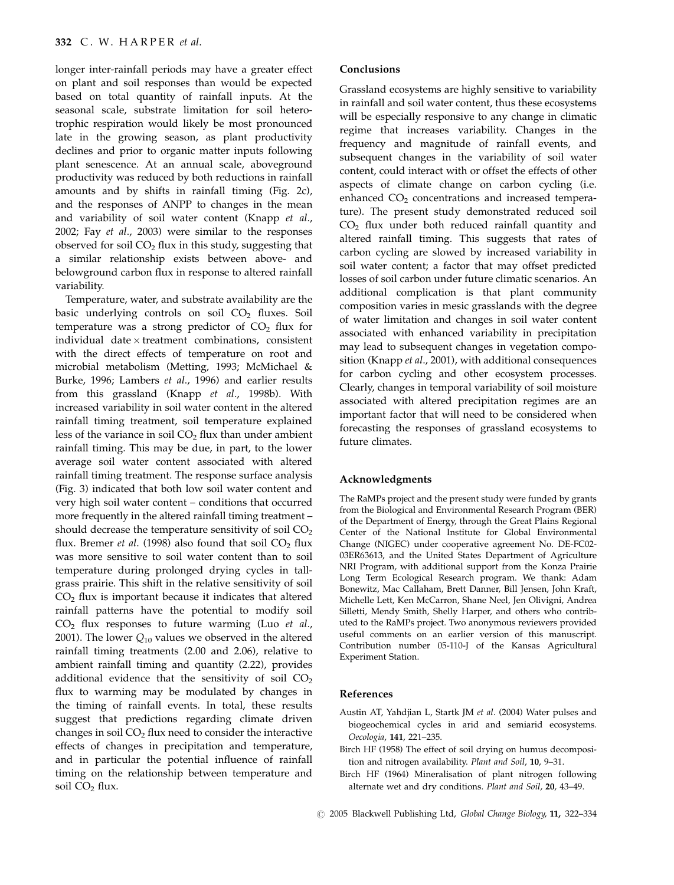longer inter-rainfall periods may have a greater effect on plant and soil responses than would be expected based on total quantity of rainfall inputs. At the seasonal scale, substrate limitation for soil heterotrophic respiration would likely be most pronounced late in the growing season, as plant productivity declines and prior to organic matter inputs following plant senescence. At an annual scale, aboveground productivity was reduced by both reductions in rainfall amounts and by shifts in rainfall timing (Fig. 2c), and the responses of ANPP to changes in the mean and variability of soil water content (Knapp et al., 2002; Fay et al., 2003) were similar to the responses observed for soil  $CO<sub>2</sub>$  flux in this study, suggesting that a similar relationship exists between above- and belowground carbon flux in response to altered rainfall variability.

Temperature, water, and substrate availability are the basic underlying controls on soil  $CO<sub>2</sub>$  fluxes. Soil temperature was a strong predictor of  $CO<sub>2</sub>$  flux for individual date  $\times$  treatment combinations, consistent with the direct effects of temperature on root and microbial metabolism (Metting, 1993; McMichael & Burke, 1996; Lambers et al., 1996) and earlier results from this grassland (Knapp et al., 1998b). With increased variability in soil water content in the altered rainfall timing treatment, soil temperature explained less of the variance in soil  $CO<sub>2</sub>$  flux than under ambient rainfall timing. This may be due, in part, to the lower average soil water content associated with altered rainfall timing treatment. The response surface analysis (Fig. 3) indicated that both low soil water content and very high soil water content – conditions that occurred more frequently in the altered rainfall timing treatment – should decrease the temperature sensitivity of soil  $CO<sub>2</sub>$ flux. Bremer et al. (1998) also found that soil  $CO<sub>2</sub>$  flux was more sensitive to soil water content than to soil temperature during prolonged drying cycles in tallgrass prairie. This shift in the relative sensitivity of soil  $CO<sub>2</sub>$  flux is important because it indicates that altered rainfall patterns have the potential to modify soil  $CO<sub>2</sub>$  flux responses to future warming (Luo et al., 2001). The lower  $Q_{10}$  values we observed in the altered rainfall timing treatments (2.00 and 2.06), relative to ambient rainfall timing and quantity (2.22), provides additional evidence that the sensitivity of soil  $CO<sub>2</sub>$ flux to warming may be modulated by changes in the timing of rainfall events. In total, these results suggest that predictions regarding climate driven changes in soil  $CO<sub>2</sub>$  flux need to consider the interactive effects of changes in precipitation and temperature, and in particular the potential influence of rainfall timing on the relationship between temperature and soil  $CO<sub>2</sub>$  flux.

#### Conclusions

Grassland ecosystems are highly sensitive to variability in rainfall and soil water content, thus these ecosystems will be especially responsive to any change in climatic regime that increases variability. Changes in the frequency and magnitude of rainfall events, and subsequent changes in the variability of soil water content, could interact with or offset the effects of other aspects of climate change on carbon cycling (i.e. enhanced  $CO<sub>2</sub>$  concentrations and increased temperature). The present study demonstrated reduced soil CO2 flux under both reduced rainfall quantity and altered rainfall timing. This suggests that rates of carbon cycling are slowed by increased variability in soil water content; a factor that may offset predicted losses of soil carbon under future climatic scenarios. An additional complication is that plant community composition varies in mesic grasslands with the degree of water limitation and changes in soil water content associated with enhanced variability in precipitation may lead to subsequent changes in vegetation composition (Knapp et al., 2001), with additional consequences for carbon cycling and other ecosystem processes. Clearly, changes in temporal variability of soil moisture associated with altered precipitation regimes are an important factor that will need to be considered when forecasting the responses of grassland ecosystems to future climates.

## Acknowledgments

The RaMPs project and the present study were funded by grants from the Biological and Environmental Research Program (BER) of the Department of Energy, through the Great Plains Regional Center of the National Institute for Global Environmental Change (NIGEC) under cooperative agreement No. DE-FC02- 03ER63613, and the United States Department of Agriculture NRI Program, with additional support from the Konza Prairie Long Term Ecological Research program. We thank: Adam Bonewitz, Mac Callaham, Brett Danner, Bill Jensen, John Kraft, Michelle Lett, Ken McCarron, Shane Neel, Jen Olivigni, Andrea Silletti, Mendy Smith, Shelly Harper, and others who contributed to the RaMPs project. Two anonymous reviewers provided useful comments on an earlier version of this manuscript. Contribution number 05-110-J of the Kansas Agricultural Experiment Station.

# References

- Austin AT, Yahdjian L, Startk JM et al. (2004) Water pulses and biogeochemical cycles in arid and semiarid ecosystems. Oecologia, 141, 221–235.
- Birch HF (1958) The effect of soil drying on humus decomposition and nitrogen availability. Plant and Soil, 10, 9–31.
- Birch HF (1964) Mineralisation of plant nitrogen following alternate wet and dry conditions. Plant and Soil, 20, 43–49.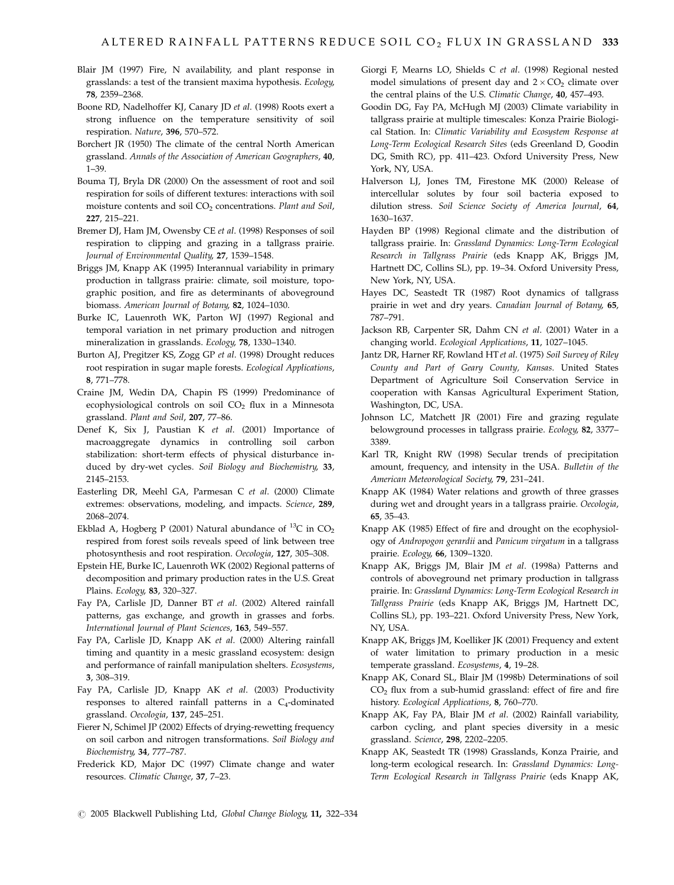- Blair JM (1997) Fire, N availability, and plant response in grasslands: a test of the transient maxima hypothesis. Ecology, 78, 2359–2368.
- Boone RD, Nadelhoffer KJ, Canary JD et al. (1998) Roots exert a strong influence on the temperature sensitivity of soil respiration. Nature, 396, 570–572.
- Borchert JR (1950) The climate of the central North American grassland. Annals of the Association of American Geographers, 40, 1–39.
- Bouma TJ, Bryla DR (2000) On the assessment of root and soil respiration for soils of different textures: interactions with soil moisture contents and soil  $CO<sub>2</sub>$  concentrations. Plant and Soil, 227, 215–221.
- Bremer DJ, Ham JM, Owensby CE et al. (1998) Responses of soil respiration to clipping and grazing in a tallgrass prairie. Journal of Environmental Quality, 27, 1539–1548.
- Briggs JM, Knapp AK (1995) Interannual variability in primary production in tallgrass prairie: climate, soil moisture, topographic position, and fire as determinants of aboveground biomass. American Journal of Botany, 82, 1024–1030.
- Burke IC, Lauenroth WK, Parton WJ (1997) Regional and temporal variation in net primary production and nitrogen mineralization in grasslands. Ecology, 78, 1330–1340.
- Burton AJ, Pregitzer KS, Zogg GP et al. (1998) Drought reduces root respiration in sugar maple forests. Ecological Applications, 8, 771–778.
- Craine JM, Wedin DA, Chapin FS (1999) Predominance of ecophysiological controls on soil  $CO<sub>2</sub>$  flux in a Minnesota grassland. Plant and Soil, 207, 77–86.
- Denef K, Six J, Paustian K et al. (2001) Importance of macroaggregate dynamics in controlling soil carbon stabilization: short-term effects of physical disturbance induced by dry-wet cycles. Soil Biology and Biochemistry, 33, 2145–2153.
- Easterling DR, Meehl GA, Parmesan C et al. (2000) Climate extremes: observations, modeling, and impacts. Science, 289, 2068–2074.
- Ekblad A, Hogberg P (2001) Natural abundance of <sup>13</sup>C in  $CO<sub>2</sub>$ respired from forest soils reveals speed of link between tree photosynthesis and root respiration. Oecologia, 127, 305–308.
- Epstein HE, Burke IC, Lauenroth WK (2002) Regional patterns of decomposition and primary production rates in the U.S. Great Plains. Ecology, 83, 320–327.
- Fay PA, Carlisle JD, Danner BT et al. (2002) Altered rainfall patterns, gas exchange, and growth in grasses and forbs. International Journal of Plant Sciences, 163, 549–557.
- Fay PA, Carlisle JD, Knapp AK et al. (2000) Altering rainfall timing and quantity in a mesic grassland ecosystem: design and performance of rainfall manipulation shelters. Ecosystems, 3, 308–319.
- Fay PA, Carlisle JD, Knapp AK et al. (2003) Productivity responses to altered rainfall patterns in a C4-dominated grassland. Oecologia, 137, 245–251.
- Fierer N, Schimel JP (2002) Effects of drying-rewetting frequency on soil carbon and nitrogen transformations. Soil Biology and Biochemistry, 34, 777–787.
- Frederick KD, Major DC (1997) Climate change and water resources. Climatic Change, 37, 7–23.
- Giorgi F, Mearns LO, Shields C et al. (1998) Regional nested model simulations of present day and  $2 \times CO<sub>2</sub>$  climate over the central plains of the U.S. Climatic Change, 40, 457-493.
- Goodin DG, Fay PA, McHugh MJ (2003) Climate variability in tallgrass prairie at multiple timescales: Konza Prairie Biological Station. In: Climatic Variability and Ecosystem Response at Long-Term Ecological Research Sites (eds Greenland D, Goodin DG, Smith RC), pp. 411–423. Oxford University Press, New York, NY, USA.
- Halverson LJ, Jones TM, Firestone MK (2000) Release of intercellular solutes by four soil bacteria exposed to dilution stress. Soil Science Society of America Journal, 64, 1630–1637.
- Hayden BP (1998) Regional climate and the distribution of tallgrass prairie. In: Grassland Dynamics: Long-Term Ecological Research in Tallgrass Prairie (eds Knapp AK, Briggs JM, Hartnett DC, Collins SL), pp. 19–34. Oxford University Press, New York, NY, USA.
- Hayes DC, Seastedt TR (1987) Root dynamics of tallgrass prairie in wet and dry years. Canadian Journal of Botany, 65, 787–791.
- Jackson RB, Carpenter SR, Dahm CN et al. (2001) Water in a changing world. Ecological Applications, 11, 1027–1045.
- Jantz DR, Harner RF, Rowland HT et al. (1975) Soil Survey of Riley County and Part of Geary County, Kansas. United States Department of Agriculture Soil Conservation Service in cooperation with Kansas Agricultural Experiment Station, Washington, DC, USA.
- Johnson LC, Matchett JR (2001) Fire and grazing regulate belowground processes in tallgrass prairie. Ecology, 82, 3377– 3389.
- Karl TR, Knight RW (1998) Secular trends of precipitation amount, frequency, and intensity in the USA. Bulletin of the American Meteorological Society, 79, 231–241.
- Knapp AK (1984) Water relations and growth of three grasses during wet and drought years in a tallgrass prairie. Oecologia, 65, 35–43.
- Knapp AK (1985) Effect of fire and drought on the ecophysiology of Andropogon gerardii and Panicum virgatum in a tallgrass prairie. Ecology, 66, 1309–1320.
- Knapp AK, Briggs JM, Blair JM et al. (1998a) Patterns and controls of aboveground net primary production in tallgrass prairie. In: Grassland Dynamics: Long-Term Ecological Research in Tallgrass Prairie (eds Knapp AK, Briggs JM, Hartnett DC, Collins SL), pp. 193–221. Oxford University Press, New York, NY, USA.
- Knapp AK, Briggs JM, Koelliker JK (2001) Frequency and extent of water limitation to primary production in a mesic temperate grassland. Ecosystems, 4, 19–28.
- Knapp AK, Conard SL, Blair JM (1998b) Determinations of soil  $CO<sub>2</sub>$  flux from a sub-humid grassland: effect of fire and fire history. Ecological Applications, 8, 760–770.
- Knapp AK, Fay PA, Blair JM et al. (2002) Rainfall variability, carbon cycling, and plant species diversity in a mesic grassland. Science, 298, 2202–2205.
- Knapp AK, Seastedt TR (1998) Grasslands, Konza Prairie, and long-term ecological research. In: Grassland Dynamics: Long-Term Ecological Research in Tallgrass Prairie (eds Knapp AK,
- r 2005 Blackwell Publishing Ltd, Global Change Biology, 11, 322–334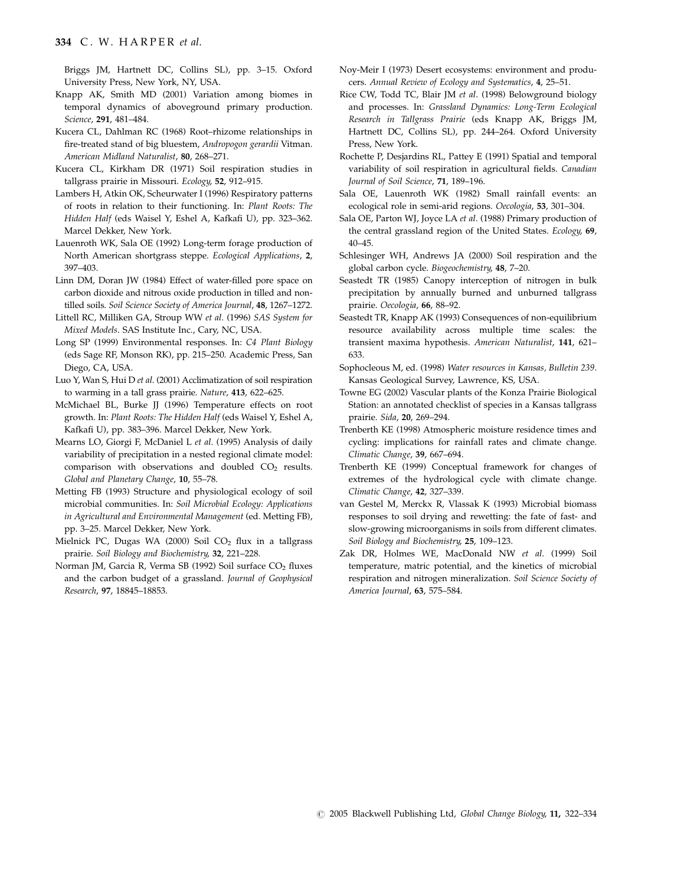Briggs JM, Hartnett DC, Collins SL), pp. 3–15. Oxford University Press, New York, NY, USA.

- Knapp AK, Smith MD (2001) Variation among biomes in temporal dynamics of aboveground primary production. Science, 291, 481–484.
- Kucera CL, Dahlman RC (1968) Root–rhizome relationships in fire-treated stand of big bluestem, Andropogon gerardii Vitman. American Midland Naturalist, 80, 268–271.
- Kucera CL, Kirkham DR (1971) Soil respiration studies in tallgrass prairie in Missouri. Ecology, 52, 912–915.
- Lambers H, Atkin OK, Scheurwater I (1996) Respiratory patterns of roots in relation to their functioning. In: Plant Roots: The Hidden Half (eds Waisel Y, Eshel A, Kafkafi U), pp. 323–362. Marcel Dekker, New York.
- Lauenroth WK, Sala OE (1992) Long-term forage production of North American shortgrass steppe. Ecological Applications, 2, 397–403.
- Linn DM, Doran JW (1984) Effect of water-filled pore space on carbon dioxide and nitrous oxide production in tilled and nontilled soils. Soil Science Society of America Journal, 48, 1267–1272.
- Littell RC, Milliken GA, Stroup WW et al. (1996) SAS System for Mixed Models. SAS Institute Inc., Cary, NC, USA.
- Long SP (1999) Environmental responses. In: C4 Plant Biology (eds Sage RF, Monson RK), pp. 215–250. Academic Press, San Diego, CA, USA.
- Luo Y, Wan S, Hui D et al. (2001) Acclimatization of soil respiration to warming in a tall grass prairie. Nature, 413, 622–625.
- McMichael BL, Burke JJ (1996) Temperature effects on root growth. In: Plant Roots: The Hidden Half (eds Waisel Y, Eshel A, Kafkafi U), pp. 383–396. Marcel Dekker, New York.
- Mearns LO, Giorgi F, McDaniel L et al. (1995) Analysis of daily variability of precipitation in a nested regional climate model: comparison with observations and doubled  $CO<sub>2</sub>$  results. Global and Planetary Change, 10, 55–78.
- Metting FB (1993) Structure and physiological ecology of soil microbial communities. In: Soil Microbial Ecology: Applications in Agricultural and Environmental Management (ed. Metting FB), pp. 3–25. Marcel Dekker, New York.
- Mielnick PC, Dugas WA (2000) Soil  $CO<sub>2</sub>$  flux in a tallgrass prairie. Soil Biology and Biochemistry, 32, 221–228.
- Norman JM, Garcia R, Verma SB (1992) Soil surface CO<sub>2</sub> fluxes and the carbon budget of a grassland. Journal of Geophysical Research, 97, 18845–18853.
- Noy-Meir I (1973) Desert ecosystems: environment and producers. Annual Review of Ecology and Systematics, 4, 25–51.
- Rice CW, Todd TC, Blair JM et al. (1998) Belowground biology and processes. In: Grassland Dynamics: Long-Term Ecological Research in Tallgrass Prairie (eds Knapp AK, Briggs JM, Hartnett DC, Collins SL), pp. 244–264. Oxford University Press, New York.
- Rochette P, Desjardins RL, Pattey E (1991) Spatial and temporal variability of soil respiration in agricultural fields. Canadian Journal of Soil Science, 71, 189–196.
- Sala OE, Lauenroth WK (1982) Small rainfall events: an ecological role in semi-arid regions. Oecologia, 53, 301–304.
- Sala OE, Parton WJ, Joyce LA et al. (1988) Primary production of the central grassland region of the United States. Ecology, 69, 40–45.
- Schlesinger WH, Andrews JA (2000) Soil respiration and the global carbon cycle. Biogeochemistry, 48, 7–20.
- Seastedt TR (1985) Canopy interception of nitrogen in bulk precipitation by annually burned and unburned tallgrass prairie. Oecologia, 66, 88–92.
- Seastedt TR, Knapp AK (1993) Consequences of non-equilibrium resource availability across multiple time scales: the transient maxima hypothesis. American Naturalist, 141, 621– 633.
- Sophocleous M, ed. (1998) Water resources in Kansas, Bulletin 239. Kansas Geological Survey, Lawrence, KS, USA.
- Towne EG (2002) Vascular plants of the Konza Prairie Biological Station: an annotated checklist of species in a Kansas tallgrass prairie. Sida, 20, 269–294.
- Trenberth KE (1998) Atmospheric moisture residence times and cycling: implications for rainfall rates and climate change. Climatic Change, 39, 667–694.
- Trenberth KE (1999) Conceptual framework for changes of extremes of the hydrological cycle with climate change. Climatic Change, 42, 327–339.
- van Gestel M, Merckx R, Vlassak K (1993) Microbial biomass responses to soil drying and rewetting: the fate of fast- and slow-growing microorganisms in soils from different climates. Soil Biology and Biochemistry, 25, 109–123.
- Zak DR, Holmes WE, MacDonald NW et al. (1999) Soil temperature, matric potential, and the kinetics of microbial respiration and nitrogen mineralization. Soil Science Society of America Journal, 63, 575–584.